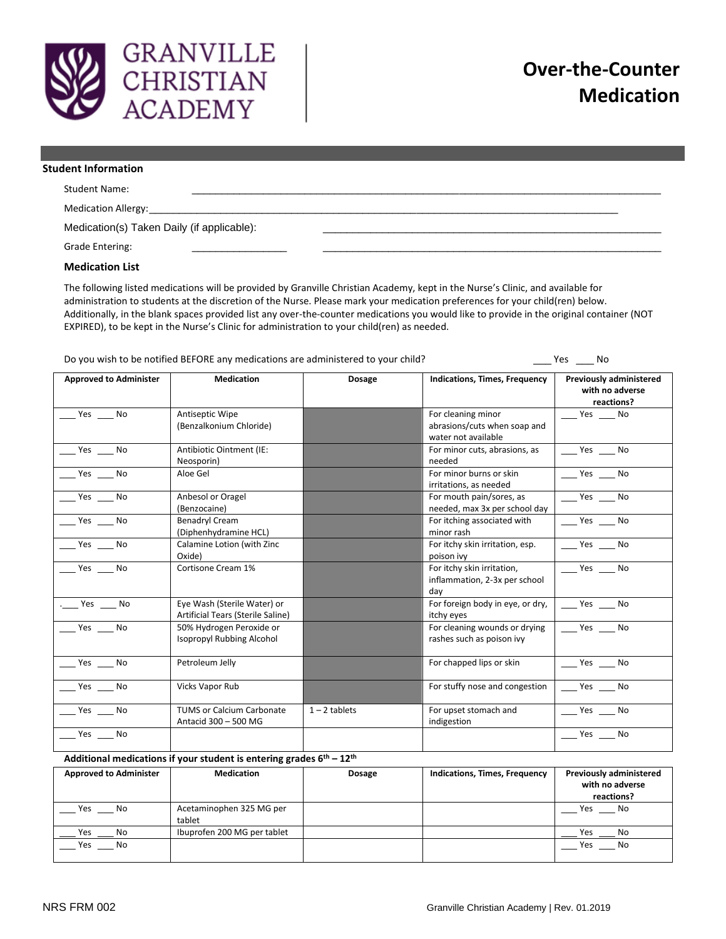

| <b>Student Information</b>                 |  |
|--------------------------------------------|--|
| <b>Student Name:</b>                       |  |
| Medication Allergy:                        |  |
| Medication(s) Taken Daily (if applicable): |  |
| <b>Grade Entering:</b>                     |  |

## **Medication List**

The following listed medications will be provided by Granville Christian Academy, kept in the Nurse's Clinic, and available for administration to students at the discretion of the Nurse. Please mark your medication preferences for your child(ren) below. Additionally, in the blank spaces provided list any over-the-counter medications you would like to provide in the original container (NOT EXPIRED), to be kept in the Nurse's Clinic for administration to your child(ren) as needed.

Do you wish to be notified BEFORE any medications are administered to your child? \_\_\_ Yes \_\_\_ Yes \_\_\_ No

| <b>Approved to Administer</b>                                          | <b>Medication</b>                 | Dosage          | Indications, Times, Frequency    | <b>Previously administered</b><br>with no adverse<br>reactions? |  |
|------------------------------------------------------------------------|-----------------------------------|-----------------|----------------------------------|-----------------------------------------------------------------|--|
| Yes No                                                                 | Antiseptic Wipe                   |                 | For cleaning minor               | Yes No                                                          |  |
|                                                                        | (Benzalkonium Chloride)           |                 | abrasions/cuts when soap and     |                                                                 |  |
|                                                                        |                                   |                 | water not available              |                                                                 |  |
| $Yes$ No                                                               | Antibiotic Ointment (IE:          |                 | For minor cuts, abrasions, as    | $\rule{1em}{0.15mm}$ Yes $\rule{1em}{0.15mm}$ No                |  |
|                                                                        | Neosporin)                        |                 | needed                           |                                                                 |  |
| Yes No                                                                 | Aloe Gel                          |                 | For minor burns or skin          | $\rule{1em}{0.15mm}$ Yes $\rule{1em}{0.15mm}$ No                |  |
|                                                                        |                                   |                 | irritations, as needed           |                                                                 |  |
| Yes ______ No                                                          | Anbesol or Oragel                 |                 | For mouth pain/sores, as         | $\rule{1em}{0.15mm}$ Yes $\rule{1em}{0.15mm}$ No                |  |
|                                                                        | (Benzocaine)                      |                 | needed, max 3x per school day    |                                                                 |  |
| Yes No                                                                 | <b>Benadryl Cream</b>             |                 | For itching associated with      | Yes No                                                          |  |
|                                                                        | (Diphenhydramine HCL)             |                 | minor rash                       |                                                                 |  |
| Yes No                                                                 | Calamine Lotion (with Zinc        |                 | For itchy skin irritation, esp.  | $\rule{1em}{0.15mm}$ Yes $\rule{1em}{0.15mm}$ No                |  |
|                                                                        | Oxide)                            |                 | poison ivy                       |                                                                 |  |
| $Yes$ No                                                               | Cortisone Cream 1%                |                 | For itchy skin irritation,       | $Yes$ No                                                        |  |
|                                                                        |                                   |                 | inflammation, 2-3x per school    |                                                                 |  |
|                                                                        |                                   |                 | day                              |                                                                 |  |
| . Yes No                                                               | Eye Wash (Sterile Water) or       |                 | For foreign body in eye, or dry, | Yes ______ No                                                   |  |
|                                                                        | Artificial Tears (Sterile Saline) |                 | itchy eyes                       |                                                                 |  |
| Yes No                                                                 | 50% Hydrogen Peroxide or          |                 | For cleaning wounds or drying    | $\frac{1}{2}$ Yes $\frac{1}{2}$ No                              |  |
|                                                                        | <b>Isopropyl Rubbing Alcohol</b>  |                 | rashes such as poison ivy        |                                                                 |  |
| $Yes$ No                                                               | Petroleum Jelly                   |                 | For chapped lips or skin         | $Yes$ No                                                        |  |
|                                                                        |                                   |                 |                                  |                                                                 |  |
| $Yes$ Mo                                                               | <b>Vicks Vapor Rub</b>            |                 | For stuffy nose and congestion   | $\rule{1em}{0.15mm}$ Yes $\rule{1em}{0.15mm}$ No                |  |
| Yes No                                                                 | <b>TUMS or Calcium Carbonate</b>  | $1 - 2$ tablets | For upset stomach and            | Yes No                                                          |  |
|                                                                        | Antacid 300 - 500 MG              |                 | indigestion                      |                                                                 |  |
| $Yes$ No                                                               |                                   |                 |                                  | $\rule{1em}{0.15mm}$ Yes $\rule{1em}{0.15mm}$ No                |  |
| Additional medications if your student is entering grades $6th - 12th$ |                                   |                 |                                  |                                                                 |  |

**Approved to Administer Medication Dosage Indications, Times, Frequency Previously administered with no adverse reactions?** Yes \_\_\_ No <br>Acetaminophen 325 MG per tablet Yes \_\_\_\_ No \_\_\_ Yes \_\_\_ No Ibuprofen 200 MG per tablet \_\_\_ Yes \_\_\_ No \_\_\_ Yes \_\_\_ No \_\_\_ Yes \_\_\_ No